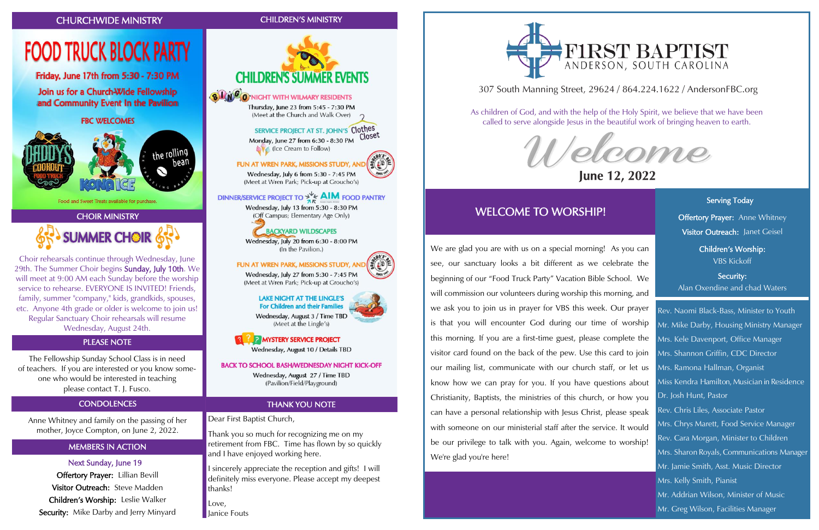# CHOIR MINISTRY **SUMMER CHOIR 65**

Food and Sweet Treats available for purchase.

### MEMBERS IN ACTION

Next Sunday, June 19 Offertory Prayer: Lillian Bevill Visitor Outreach: Steve Madden Children's Worship: Leslie Walker Security: Mike Darby and Jerry Minyard

# FIRST BAPTIST

### CHURCHWIDE MINISTRY CHILDREN'S MINISTRY

**FOOD TRUCK BLOCK PARTY** 

Friday, June 17th from 5:30 - 7:30 PM

Join us for a Church-Wide Fellowship

and Community Event In the Pavilion

**FBC WELCOMES** 



**BLACO** NIGHT WITH WILMARY RESIDENTS

Thursday, June 23 from 5:45 - 7:30 PM (Meet at the Church and Walk Over)

### SERVICE PROJECT AT ST. JOHN'S Clothes

Closet Monday, June 27 from 6:30 - 8:30 PM **LY** (Ice Cream to Follow)

FUN AT WREN PARK, MISSIONS STUDY, A

Wednesday, July 6 from 5:30 - 7:45 PM (Meet at Wren Park; Pick-up at Groucho's)

### DINNER/SERVICE PROJECT TO  $\frac{1}{2}$ /<sub>K</sub> AIM FOOD PANTRY

Wednesday, July 13 from 5:30 - 8:30 PM (Off Campus; Elementary Age Only)

### **BACKYARD WILDSCAPES**

Wednesday, July 20 from 6:30 - 8:00 PM (In the Pavilion.)

### FUN AT WREN PARK, MISSIONS STUDY, ANI

Wednesday, July 27 from 5:30 - 7:45 PM (Meet at Wren Park; Pick-up at Groucho's)

### **LAKE NIGHT AT THE LINGLE'S** For Children and their Families

Wednesday, August 3 / Time TBD (Meet at the Lingle's)

## **P MYSTERY SERVICE PROJECT**

Wednesday, August 10 / Details TBD

### **BACK TO SCHOOL BASH/WEDNESDAY NIGHT KICK-OFF**

Wednesday, August 27 / Time TBD (Pavilion/Field/Playground)

Anne Whitney and family on the passing of her mother, Joyce Compton, on June 2, 2022.

> Love, **Hanice Fouts**



Choir rehearsals continue through Wednesday, June 29th. The Summer Choir begins Sunday, July 10th. We will meet at 9:00 AM each Sunday before the worship service to rehearse. EVERYONE IS INVITED! Friends, family, summer "company," kids, grandkids, spouses, etc. Anyone 4th grade or older is welcome to join us! Regular Sanctuary Choir rehearsals will resume Wednesday, August 24th.

### THANK YOU NOTE

Dear First Baptist Church,

Thank you so much for recognizing me on my retirement from FBC. Time has flown by so quickly and I have enjoyed working here.

I sincerely appreciate the reception and gifts! I will definitely miss everyone. Please accept my deepest thanks!

The Fellowship Sunday School Class is in need of teachers. If you are interested or you know someone who would be interested in teaching please contact T. J. Fusco.

### **CONDOLENCES**

### PLEASE NOTE

### 307 South Manning Street, 29624 / 864.224.1622 / AndersonFBC.org



# June 12, 2022

As children of God, and with the help of the Holy Spirit, we believe that we have been called to serve alongside Jesus in the beautiful work of bringing heaven to earth.

### WELCOME TO WORSHIP!

Serving Today **Offertory Prayer:** Anne Whitney Visitor Outreach: Janet Geisel

Ī

We are glad you are with us on a special morning! As you can see, our sanctuary looks a bit different as we celebrate the beginning of our "Food Truck Party" Vacation Bible School. We will commission our volunteers during worship this morning, and we ask you to join us in prayer for VBS this week. Our prayer is that you will encounter God during our time of worship this morning. If you are a first-time guest, please complete the visitor card found on the back of the pew. Use this card to join our mailing list, communicate with our church staff, or let us know how we can pray for you. If you have questions about Christianity, Baptists, the ministries of this church, or how you can have a personal relationship with Jesus Christ, please speak with someone on our ministerial staff after the service. It would be our privilege to talk with you. Again, welcome to worship! We're glad you're here!

Children's Worship: VBS Kickoff

Security: Alan Oxendine and chad Waters

Rev. Naomi Black-Bass, Minister to Youth Mr. Mike Darby, Housing Ministry Manager Mrs. Kele Davenport, Office Manager Mrs. Shannon Griffin, CDC Director Mrs. Ramona Hallman, Organist Miss Kendra Hamilton, Musician in Residence Dr. Josh Hunt, Pastor Rev. Chris Liles, Associate Pastor Mrs. Chrys Marett, Food Service Manager Rev. Cara Morgan, Minister to Children Mrs. Sharon Royals, Communications Manager Mr. Jamie Smith, Asst. Music Director Mrs. Kelly Smith, Pianist Mr. Addrian Wilson, Minister of Music Mr. Greg Wilson, Facilities Manager